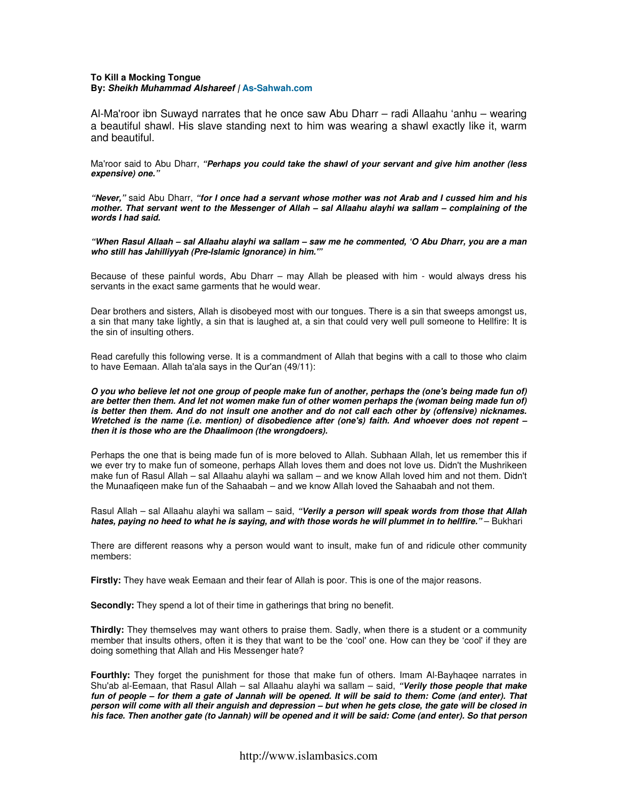# **To Kill a Mocking Tongue By: Sheikh Muhammad Alshareef | As-Sahwah.com**

Al-Ma'roor ibn Suwayd narrates that he once saw Abu Dharr – radi Allaahu 'anhu – wearing a beautiful shawl. His slave standing next to him was wearing a shawl exactly like it, warm and beautiful.

Ma'roor said to Abu Dharr, **"Perhaps you could take the shawl of your servant and give him another (less expensive) one."** 

**"Never,"** said Abu Dharr, **"for I once had a servant whose mother was not Arab and I cussed him and his mother. That servant went to the Messenger of Allah – sal Allaahu alayhi wa sallam – complaining of the words I had said.** 

**"When Rasul Allaah – sal Allaahu alayhi wa sallam – saw me he commented, 'O Abu Dharr, you are a man who still has Jahilliyyah (Pre-Islamic Ignorance) in him.'"** 

Because of these painful words, Abu Dharr – may Allah be pleased with him - would always dress his servants in the exact same garments that he would wear.

Dear brothers and sisters, Allah is disobeyed most with our tongues. There is a sin that sweeps amongst us, a sin that many take lightly, a sin that is laughed at, a sin that could very well pull someone to Hellfire: It is the sin of insulting others.

Read carefully this following verse. It is a commandment of Allah that begins with a call to those who claim to have Eemaan. Allah ta'ala says in the Qur'an (49/11):

**O you who believe let not one group of people make fun of another, perhaps the (one's being made fun of) are better then them. And let not women make fun of other women perhaps the (woman being made fun of) is better then them. And do not insult one another and do not call each other by (offensive) nicknames. Wretched is the name (i.e. mention) of disobedience after (one's) faith. And whoever does not repent – then it is those who are the Dhaalimoon (the wrongdoers).** 

Perhaps the one that is being made fun of is more beloved to Allah. Subhaan Allah, let us remember this if we ever try to make fun of someone, perhaps Allah loves them and does not love us. Didn't the Mushrikeen make fun of Rasul Allah – sal Allaahu alayhi wa sallam – and we know Allah loved him and not them. Didn't the Munaafiqeen make fun of the Sahaabah – and we know Allah loved the Sahaabah and not them.

Rasul Allah – sal Allaahu alayhi wa sallam – said, **"Verily a person will speak words from those that Allah**  hates, paying no heed to what he is saying, and with those words he will plummet in to hellfire." - Bukhari

There are different reasons why a person would want to insult, make fun of and ridicule other community members:

**Firstly:** They have weak Eemaan and their fear of Allah is poor. This is one of the major reasons.

**Secondly:** They spend a lot of their time in gatherings that bring no benefit.

**Thirdly:** They themselves may want others to praise them. Sadly, when there is a student or a community member that insults others, often it is they that want to be the 'cool' one. How can they be 'cool' if they are doing something that Allah and His Messenger hate?

**Fourthly:** They forget the punishment for those that make fun of others. Imam Al-Bayhaqee narrates in Shu'ab al-Eemaan, that Rasul Allah – sal Allaahu alayhi wa sallam – said, **"Verily those people that make fun of people – for them a gate of Jannah will be opened. It will be said to them: Come (and enter). That person will come with all their anguish and depression – but when he gets close, the gate will be closed in his face. Then another gate (to Jannah) will be opened and it will be said: Come (and enter). So that person**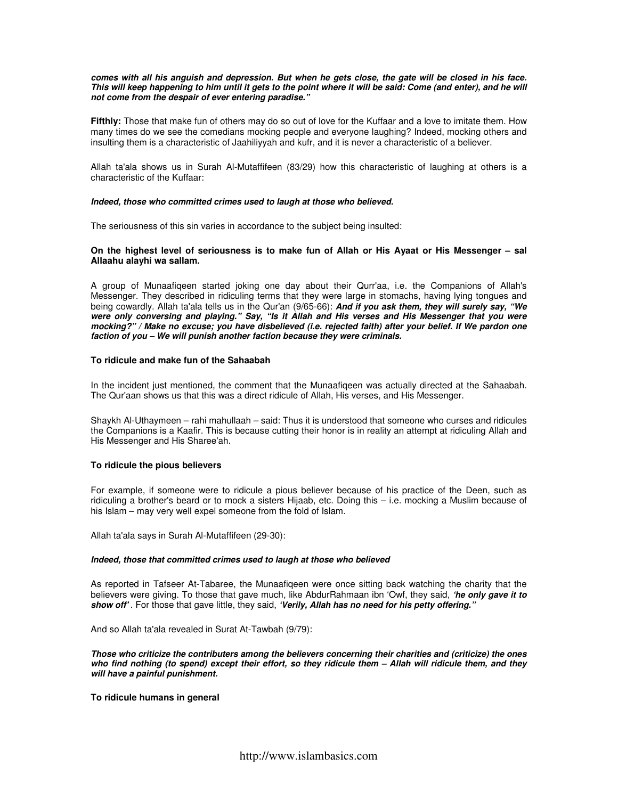#### **comes with all his anguish and depression. But when he gets close, the gate will be closed in his face. This will keep happening to him until it gets to the point where it will be said: Come (and enter), and he will not come from the despair of ever entering paradise."**

**Fifthly:** Those that make fun of others may do so out of love for the Kuffaar and a love to imitate them. How many times do we see the comedians mocking people and everyone laughing? Indeed, mocking others and insulting them is a characteristic of Jaahiliyyah and kufr, and it is never a characteristic of a believer.

Allah ta'ala shows us in Surah Al-Mutaffifeen (83/29) how this characteristic of laughing at others is a characteristic of the Kuffaar:

### **Indeed, those who committed crimes used to laugh at those who believed.**

The seriousness of this sin varies in accordance to the subject being insulted:

# **On the highest level of seriousness is to make fun of Allah or His Ayaat or His Messenger – sal Allaahu alayhi wa sallam.**

A group of Munaafiqeen started joking one day about their Qurr'aa, i.e. the Companions of Allah's Messenger. They described in ridiculing terms that they were large in stomachs, having lying tongues and being cowardly. Allah ta'ala tells us in the Qur'an (9/65-66): **And if you ask them, they will surely say, "We were only conversing and playing." Say, "Is it Allah and His verses and His Messenger that you were mocking?" / Make no excuse; you have disbelieved (i.e. rejected faith) after your belief. If We pardon one faction of you – We will punish another faction because they were criminals.** 

### **To ridicule and make fun of the Sahaabah**

In the incident just mentioned, the comment that the Munaafiqeen was actually directed at the Sahaabah. The Qur'aan shows us that this was a direct ridicule of Allah, His verses, and His Messenger.

Shaykh Al-Uthaymeen – rahi mahullaah – said: Thus it is understood that someone who curses and ridicules the Companions is a Kaafir. This is because cutting their honor is in reality an attempt at ridiculing Allah and His Messenger and His Sharee'ah.

## **To ridicule the pious believers**

For example, if someone were to ridicule a pious believer because of his practice of the Deen, such as ridiculing a brother's beard or to mock a sisters Hijaab, etc. Doing this – i.e. mocking a Muslim because of his Islam – may very well expel someone from the fold of Islam.

Allah ta'ala says in Surah Al-Mutaffifeen (29-30):

## **Indeed, those that committed crimes used to laugh at those who believed**

As reported in Tafseer At-Tabaree, the Munaafiqeen were once sitting back watching the charity that the believers were giving. To those that gave much, like AbdurRahmaan ibn 'Owf, they said, **'he only gave it to show off'** . For those that gave little, they said, **'Verily, Allah has no need for his petty offering."**

And so Allah ta'ala revealed in Surat At-Tawbah (9/79):

**Those who criticize the contributers among the believers concerning their charities and (criticize) the ones who find nothing (to spend) except their effort, so they ridicule them – Allah will ridicule them, and they will have a painful punishment.** 

## **To ridicule humans in general**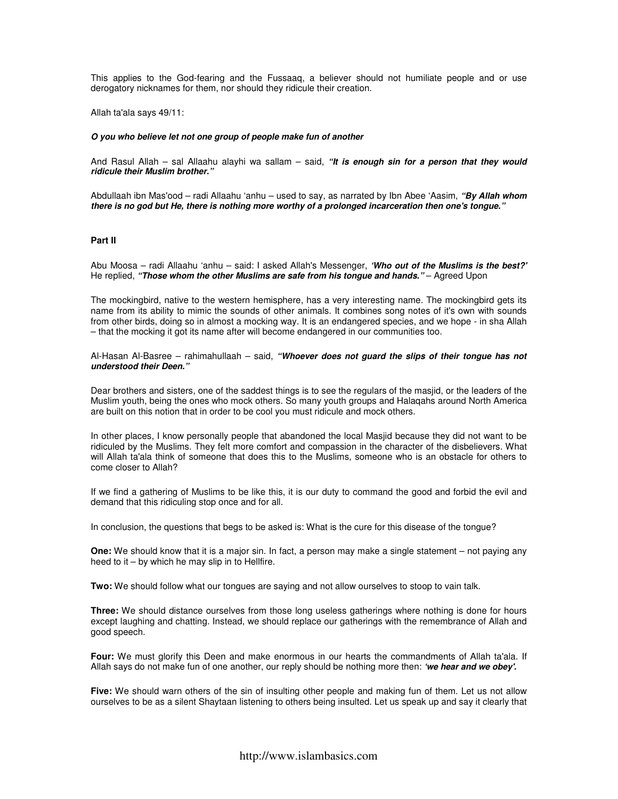This applies to the God-fearing and the Fussaaq, a believer should not humiliate people and or use derogatory nicknames for them, nor should they ridicule their creation.

Allah ta'ala says 49/11:

#### **O you who believe let not one group of people make fun of another**

And Rasul Allah – sal Allaahu alayhi wa sallam – said, **"It is enough sin for a person that they would ridicule their Muslim brother."** 

Abdullaah ibn Mas'ood – radi Allaahu 'anhu – used to say, as narrated by Ibn Abee 'Aasim, **"By Allah whom there is no god but He, there is nothing more worthy of a prolonged incarceration then one's tongue."** 

# **Part II**

Abu Moosa – radi Allaahu 'anhu – said: I asked Allah's Messenger, **'Who out of the Muslims is the best?'**  He replied, "Those whom the other Muslims are safe from his tongue and hands." - Agreed Upon

The mockingbird, native to the western hemisphere, has a very interesting name. The mockingbird gets its name from its ability to mimic the sounds of other animals. It combines song notes of it's own with sounds from other birds, doing so in almost a mocking way. It is an endangered species, and we hope - in sha Allah – that the mocking it got its name after will become endangered in our communities too.

Al-Hasan Al-Basree – rahimahullaah – said, **"Whoever does not guard the slips of their tongue has not understood their Deen."** 

Dear brothers and sisters, one of the saddest things is to see the regulars of the masjid, or the leaders of the Muslim youth, being the ones who mock others. So many youth groups and Halaqahs around North America are built on this notion that in order to be cool you must ridicule and mock others.

In other places, I know personally people that abandoned the local Masjid because they did not want to be ridiculed by the Muslims. They felt more comfort and compassion in the character of the disbelievers. What will Allah ta'ala think of someone that does this to the Muslims, someone who is an obstacle for others to come closer to Allah?

If we find a gathering of Muslims to be like this, it is our duty to command the good and forbid the evil and demand that this ridiculing stop once and for all.

In conclusion, the questions that begs to be asked is: What is the cure for this disease of the tongue?

**One:** We should know that it is a major sin. In fact, a person may make a single statement – not paying any heed to it – by which he may slip in to Hellfire.

**Two:** We should follow what our tongues are saying and not allow ourselves to stoop to vain talk.

**Three:** We should distance ourselves from those long useless gatherings where nothing is done for hours except laughing and chatting. Instead, we should replace our gatherings with the remembrance of Allah and good speech.

**Four:** We must glorify this Deen and make enormous in our hearts the commandments of Allah ta'ala. If Allah says do not make fun of one another, our reply should be nothing more then: **'we hear and we obey'.** 

**Five:** We should warn others of the sin of insulting other people and making fun of them. Let us not allow ourselves to be as a silent Shaytaan listening to others being insulted. Let us speak up and say it clearly that